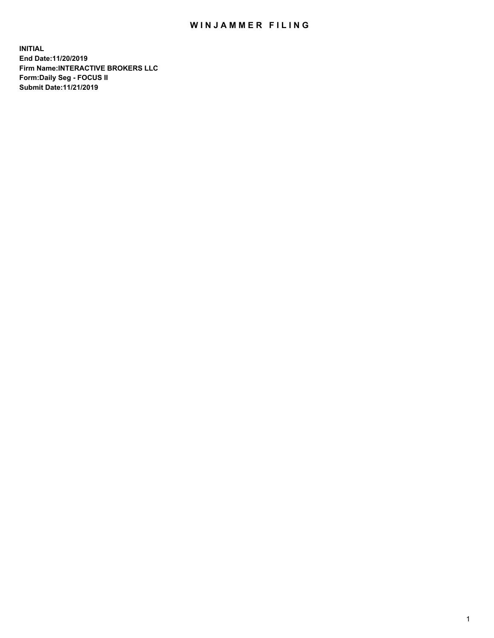## WIN JAMMER FILING

**INITIAL End Date:11/20/2019 Firm Name:INTERACTIVE BROKERS LLC Form:Daily Seg - FOCUS II Submit Date:11/21/2019**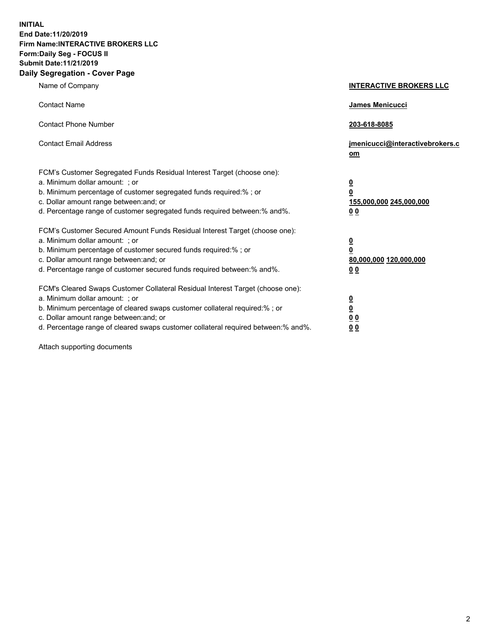**INITIAL End Date:11/20/2019 Firm Name:INTERACTIVE BROKERS LLC Form:Daily Seg - FOCUS II Submit Date:11/21/2019 Daily Segregation - Cover Page**

| Name of Company                                                                                                                                                                                                                                                                                                                | <b>INTERACTIVE BROKERS LLC</b>                                                                  |
|--------------------------------------------------------------------------------------------------------------------------------------------------------------------------------------------------------------------------------------------------------------------------------------------------------------------------------|-------------------------------------------------------------------------------------------------|
| <b>Contact Name</b>                                                                                                                                                                                                                                                                                                            | James Menicucci                                                                                 |
| <b>Contact Phone Number</b>                                                                                                                                                                                                                                                                                                    | 203-618-8085                                                                                    |
| <b>Contact Email Address</b>                                                                                                                                                                                                                                                                                                   | jmenicucci@interactivebrokers.c<br>om                                                           |
| FCM's Customer Segregated Funds Residual Interest Target (choose one):<br>a. Minimum dollar amount: ; or<br>b. Minimum percentage of customer segregated funds required:% ; or<br>c. Dollar amount range between: and; or<br>d. Percentage range of customer segregated funds required between:% and%.                         | $\overline{\mathbf{0}}$<br>$\overline{\mathbf{0}}$<br>155,000,000 245,000,000<br>0 <sub>0</sub> |
| FCM's Customer Secured Amount Funds Residual Interest Target (choose one):<br>a. Minimum dollar amount: ; or<br>b. Minimum percentage of customer secured funds required:%; or<br>c. Dollar amount range between: and; or<br>d. Percentage range of customer secured funds required between:% and%.                            | $\overline{\mathbf{0}}$<br>$\overline{\mathbf{0}}$<br>80,000,000 120,000,000<br>00              |
| FCM's Cleared Swaps Customer Collateral Residual Interest Target (choose one):<br>a. Minimum dollar amount: ; or<br>b. Minimum percentage of cleared swaps customer collateral required:% ; or<br>c. Dollar amount range between: and; or<br>d. Percentage range of cleared swaps customer collateral required between:% and%. | $\overline{\mathbf{0}}$<br>$\underline{\mathbf{0}}$<br>0 <sub>0</sub><br>0 <sub>0</sub>         |

Attach supporting documents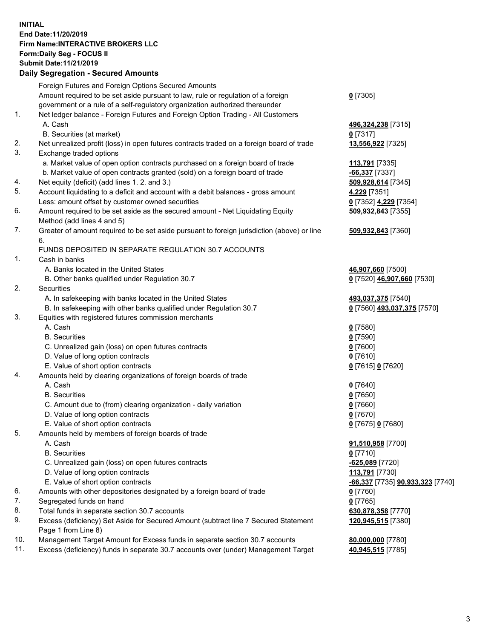## **INITIAL End Date:11/20/2019 Firm Name:INTERACTIVE BROKERS LLC Form:Daily Seg - FOCUS II Submit Date:11/21/2019 Daily Segregation - Secured Amounts**

|     | Dany Segregation - Secured Amounts                                                                         |                                                      |
|-----|------------------------------------------------------------------------------------------------------------|------------------------------------------------------|
|     | Foreign Futures and Foreign Options Secured Amounts                                                        |                                                      |
|     | Amount required to be set aside pursuant to law, rule or regulation of a foreign                           | $0$ [7305]                                           |
|     | government or a rule of a self-regulatory organization authorized thereunder                               |                                                      |
| 1.  | Net ledger balance - Foreign Futures and Foreign Option Trading - All Customers                            |                                                      |
|     | A. Cash                                                                                                    | 496,324,238 [7315]                                   |
|     | B. Securities (at market)                                                                                  | $0$ [7317]                                           |
| 2.  | Net unrealized profit (loss) in open futures contracts traded on a foreign board of trade                  | 13,556,922 [7325]                                    |
| 3.  | Exchange traded options                                                                                    |                                                      |
|     | a. Market value of open option contracts purchased on a foreign board of trade                             | 113,791 [7335]                                       |
|     | b. Market value of open contracts granted (sold) on a foreign board of trade                               | $-66,337$ [7337]                                     |
| 4.  | Net equity (deficit) (add lines 1. 2. and 3.)                                                              | 509,928,614 [7345]                                   |
| 5.  | Account liquidating to a deficit and account with a debit balances - gross amount                          | 4,229 [7351]                                         |
|     | Less: amount offset by customer owned securities                                                           | 0 [7352] 4,229 [7354]                                |
| 6.  | Amount required to be set aside as the secured amount - Net Liquidating Equity                             | 509,932,843 [7355]                                   |
|     | Method (add lines 4 and 5)                                                                                 |                                                      |
| 7.  | Greater of amount required to be set aside pursuant to foreign jurisdiction (above) or line                | 509,932,843 [7360]                                   |
|     | 6.                                                                                                         |                                                      |
|     | FUNDS DEPOSITED IN SEPARATE REGULATION 30.7 ACCOUNTS                                                       |                                                      |
| 1.  | Cash in banks                                                                                              |                                                      |
|     | A. Banks located in the United States                                                                      | 46,907,660 [7500]                                    |
| 2.  | B. Other banks qualified under Regulation 30.7<br>Securities                                               | 0 [7520] 46,907,660 [7530]                           |
|     | A. In safekeeping with banks located in the United States                                                  | 493,037,375 [7540]                                   |
|     | B. In safekeeping with other banks qualified under Regulation 30.7                                         | 0 [7560] 493,037,375 [7570]                          |
| 3.  | Equities with registered futures commission merchants                                                      |                                                      |
|     | A. Cash                                                                                                    | $0$ [7580]                                           |
|     | <b>B.</b> Securities                                                                                       | $0$ [7590]                                           |
|     | C. Unrealized gain (loss) on open futures contracts                                                        | $0$ [7600]                                           |
|     | D. Value of long option contracts                                                                          | $0$ [7610]                                           |
|     | E. Value of short option contracts                                                                         | 0 [7615] 0 [7620]                                    |
| 4.  | Amounts held by clearing organizations of foreign boards of trade                                          |                                                      |
|     | A. Cash                                                                                                    | $0$ [7640]                                           |
|     | <b>B.</b> Securities                                                                                       | $0$ [7650]                                           |
|     | C. Amount due to (from) clearing organization - daily variation                                            | $0$ [7660]                                           |
|     | D. Value of long option contracts                                                                          | $0$ [7670]                                           |
|     | E. Value of short option contracts                                                                         | 0 [7675] 0 [7680]                                    |
| 5.  | Amounts held by members of foreign boards of trade                                                         |                                                      |
|     | A. Cash                                                                                                    | 91,510,958 [7700]                                    |
|     | <b>B.</b> Securities                                                                                       | $0$ [7710]                                           |
|     | C. Unrealized gain (loss) on open futures contracts                                                        | -625,089 [7720]                                      |
|     | D. Value of long option contracts                                                                          | 113,791 [7730]                                       |
|     | E. Value of short option contracts                                                                         | <mark>-66,337</mark> [7735] <b>90,933,323</b> [7740] |
| 6.  | Amounts with other depositories designated by a foreign board of trade                                     | $0$ [7760]                                           |
| 7.  | Segregated funds on hand                                                                                   | $0$ [7765]                                           |
| 8.  | Total funds in separate section 30.7 accounts                                                              | 630,878,358 [7770]                                   |
| 9.  | Excess (deficiency) Set Aside for Secured Amount (subtract line 7 Secured Statement<br>Page 1 from Line 8) | 120,945,515 [7380]                                   |
| 10. | Management Target Amount for Excess funds in separate section 30.7 accounts                                | 80,000,000 [7780]                                    |
| 11. | Excess (deficiency) funds in separate 30.7 accounts over (under) Management Target                         | 40,945,515 [7785]                                    |
|     |                                                                                                            |                                                      |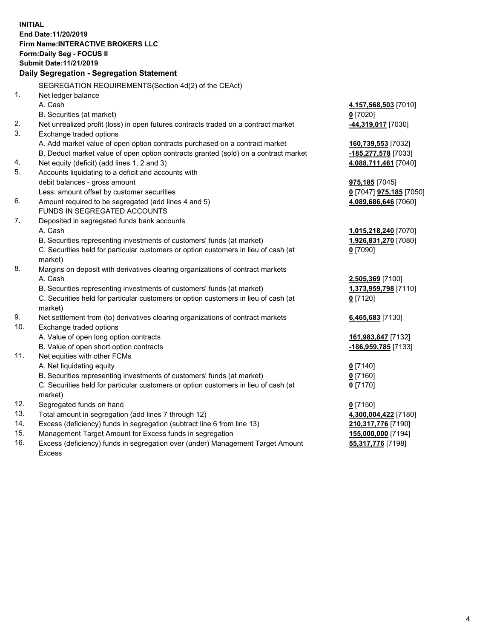**INITIAL End Date:11/20/2019 Firm Name:INTERACTIVE BROKERS LLC Form:Daily Seg - FOCUS II Submit Date:11/21/2019 Daily Segregation - Segregation Statement** SEGREGATION REQUIREMENTS(Section 4d(2) of the CEAct) 1. Net ledger balance A. Cash **4,157,568,503** [7010] B. Securities (at market) **0** [7020] 2. Net unrealized profit (loss) in open futures contracts traded on a contract market **-44,319,017** [7030] 3. Exchange traded options A. Add market value of open option contracts purchased on a contract market **160,739,553** [7032] B. Deduct market value of open option contracts granted (sold) on a contract market **-185,277,578** [7033] 4. Net equity (deficit) (add lines 1, 2 and 3) **4,088,711,461** [7040] 5. Accounts liquidating to a deficit and accounts with debit balances - gross amount **975,185** [7045] Less: amount offset by customer securities **0** [7047] **975,185** [7050] 6. Amount required to be segregated (add lines 4 and 5) **4,089,686,646** [7060] FUNDS IN SEGREGATED ACCOUNTS 7. Deposited in segregated funds bank accounts A. Cash **1,015,218,240** [7070] B. Securities representing investments of customers' funds (at market) **1,926,831,270** [7080] C. Securities held for particular customers or option customers in lieu of cash (at market) **0** [7090] 8. Margins on deposit with derivatives clearing organizations of contract markets A. Cash **2,505,369** [7100] B. Securities representing investments of customers' funds (at market) **1,373,959,798** [7110] C. Securities held for particular customers or option customers in lieu of cash (at market) **0** [7120] 9. Net settlement from (to) derivatives clearing organizations of contract markets **6,465,683** [7130] 10. Exchange traded options A. Value of open long option contracts **161,983,847** [7132] B. Value of open short option contracts **-186,959,785** [7133] 11. Net equities with other FCMs A. Net liquidating equity **0** [7140] B. Securities representing investments of customers' funds (at market) **0** [7160] C. Securities held for particular customers or option customers in lieu of cash (at market) **0** [7170] 12. Segregated funds on hand **0** [7150] 13. Total amount in segregation (add lines 7 through 12) **4,300,004,422** [7180] 14. Excess (deficiency) funds in segregation (subtract line 6 from line 13) **210,317,776** [7190] 15. Management Target Amount for Excess funds in segregation **155,000,000** [7194] **55,317,776** [7198]

16. Excess (deficiency) funds in segregation over (under) Management Target Amount Excess